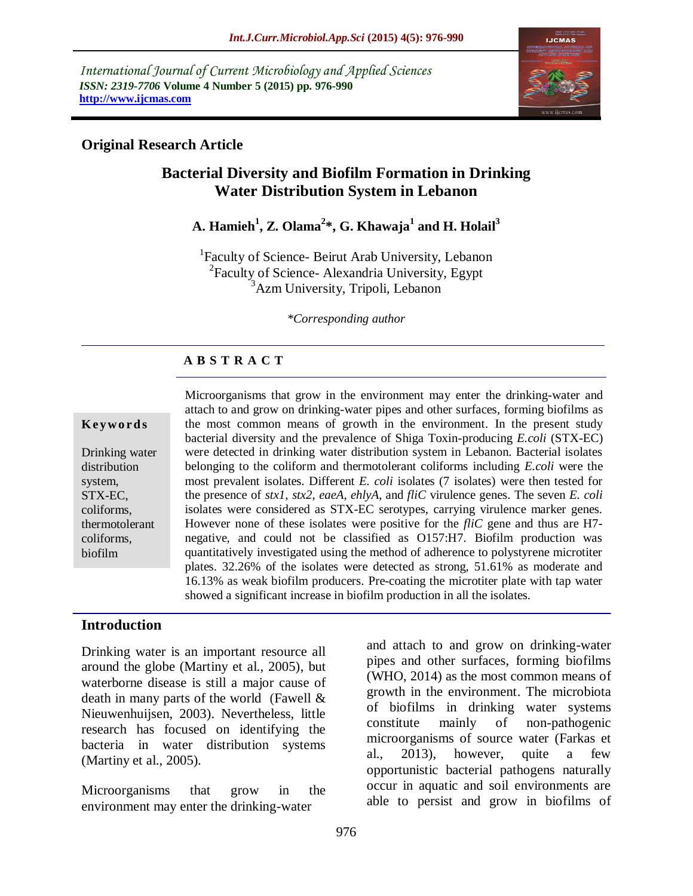*International Journal of Current Microbiology and Applied Sciences ISSN: 2319-7706* **Volume 4 Number 5 (2015) pp. 976-990 http://www.ijcmas.com** 



### **Original Research Article**

# **Bacterial Diversity and Biofilm Formation in Drinking Water Distribution System in Lebanon**

# **A. Hamieh<sup>1</sup> , Z. Olama<sup>2</sup> \*, G. Khawaja<sup>1</sup> and H. Holail<sup>3</sup>**

<sup>1</sup>Faculty of Science- Beirut Arab University, Lebanon <sup>2</sup> Faculty of Science- Alexandria University, Egypt <sup>3</sup>Azm University, Tripoli, Lebanon

*\*Corresponding author*

### **A B S T R A C T**

#### **K ey w o rd s**

Drinking water distribution system, STX-EC, coliforms, thermotolerant coliforms, biofilm

Microorganisms that grow in the environment may enter the drinking-water and attach to and grow on drinking-water pipes and other surfaces, forming biofilms as the most common means of growth in the environment. In the present study bacterial diversity and the prevalence of Shiga Toxin-producing *E.coli* (STX-EC) were detected in drinking water distribution system in Lebanon. Bacterial isolates belonging to the coliform and thermotolerant coliforms including *E.coli* were the most prevalent isolates. Different *E. coli* isolates (7 isolates) were then tested for the presence of *stx1*, *stx2*, *eaeA*, *ehlyA*, and *fliC* virulence genes. The seven *E. coli* isolates were considered as STX-EC serotypes, carrying virulence marker genes. However none of these isolates were positive for the *fliC* gene and thus are H7 negative, and could not be classified as O157:H7. Biofilm production was quantitatively investigated using the method of adherence to polystyrene microtiter plates. 32.26% of the isolates were detected as strong, 51.61% as moderate and 16.13% as weak biofilm producers. Pre-coating the microtiter plate with tap water showed a significant increase in biofilm production in all the isolates.

## **Introduction**

Drinking water is an important resource all around the globe (Martiny et al., 2005), but waterborne disease is still a major cause of death in many parts of the world (Fawell & Nieuwenhuijsen, 2003). Nevertheless, little research has focused on identifying the bacteria in water distribution systems (Martiny et al., 2005).

Microorganisms that grow in the environment may enter the drinking-water

and attach to and grow on drinking-water pipes and other surfaces, forming biofilms (WHO, 2014) as the most common means of growth in the environment. The microbiota of biofilms in drinking water systems constitute mainly of non-pathogenic microorganisms of source water (Farkas et al., 2013), however, quite a few opportunistic bacterial pathogens naturally occur in aquatic and soil environments are able to persist and grow in biofilms of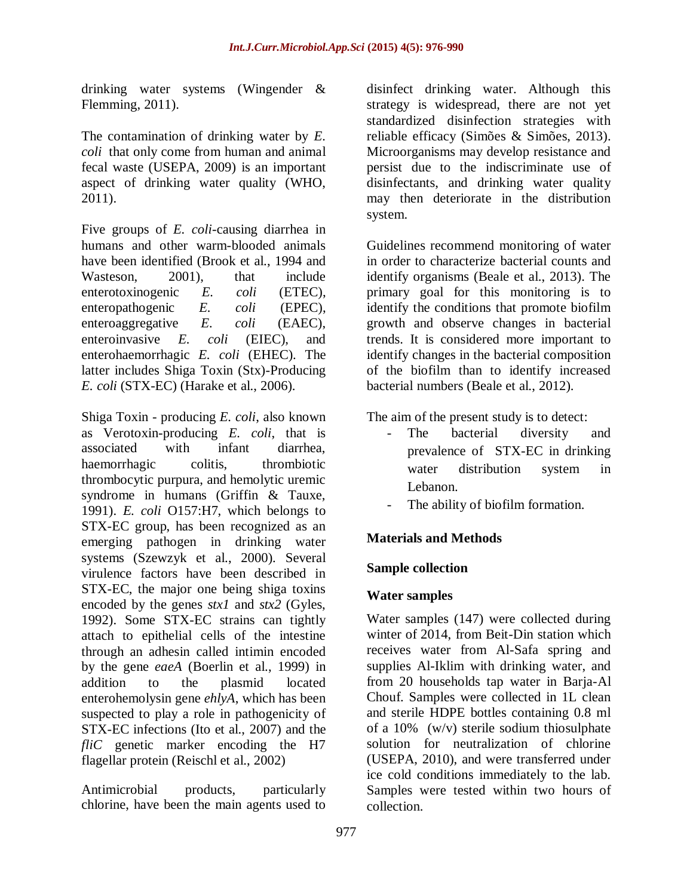drinking water systems (Wingender & Flemming, 2011).

The contamination of drinking water by *E. coli* that only come from human and animal fecal waste (USEPA, 2009) is an important aspect of drinking water quality (WHO, 2011).

Five groups of *E. coli*-causing diarrhea in humans and other warm-blooded animals have been identified (Brook et al., 1994 and Wasteson, 2001), that include enterotoxinogenic *E. coli* (ETEC), enteropathogenic *E. coli* (EPEC), enteroaggregative *E. coli* (EAEC), enteroinvasive *E. coli* (EIEC), and enterohaemorrhagic *E. coli* (EHEC). The latter includes Shiga Toxin (Stx)-Producing *E. coli* (STX-EC) (Harake et al., 2006).

Shiga Toxin - producing *E. coli*, also known as Verotoxin-producing *E. coli*, that is associated with infant diarrhea, haemorrhagic colitis, thrombiotic thrombocytic purpura, and hemolytic uremic syndrome in humans (Griffin & Tauxe, 1991). *E. coli* O157:H7, which belongs to STX-EC group, has been recognized as an emerging pathogen in drinking water systems (Szewzyk et al., 2000). Several virulence factors have been described in STX-EC, the major one being shiga toxins encoded by the genes *stx1* and *stx2* (Gyles, 1992). Some STX-EC strains can tightly attach to epithelial cells of the intestine through an adhesin called intimin encoded by the gene *eaeA* (Boerlin et al., 1999) in addition to the plasmid located enterohemolysin gene *ehlyA*, which has been suspected to play a role in pathogenicity of STX-EC infections (Ito et al., 2007) and the *fliC* genetic marker encoding the H7 flagellar protein (Reischl et al., 2002)

Antimicrobial products, particularly chlorine, have been the main agents used to

disinfect drinking water. Although this strategy is widespread, there are not yet standardized disinfection strategies with reliable efficacy (Simões & Simões, 2013). Microorganisms may develop resistance and persist due to the indiscriminate use of disinfectants, and drinking water quality may then deteriorate in the distribution system.

Guidelines recommend monitoring of water in order to characterize bacterial counts and identify organisms (Beale et al., 2013). The primary goal for this monitoring is to identify the conditions that promote biofilm growth and observe changes in bacterial trends. It is considered more important to identify changes in the bacterial composition of the biofilm than to identify increased bacterial numbers (Beale et al., 2012).

The aim of the present study is to detect:

- The bacterial diversity and prevalence of STX-EC in drinking water distribution system in Lebanon.
- The ability of biofilm formation.

## **Materials and Methods**

## **Sample collection**

### **Water samples**

Water samples (147) were collected during winter of 2014, from Beit-Din station which receives water from Al-Safa spring and supplies Al-Iklim with drinking water, and from 20 households tap water in Barja-Al Chouf. Samples were collected in 1L clean and sterile HDPE bottles containing 0.8 ml of a 10% (w/v) sterile sodium thiosulphate solution for neutralization of chlorine (USEPA, 2010), and were transferred under ice cold conditions immediately to the lab. Samples were tested within two hours of collection.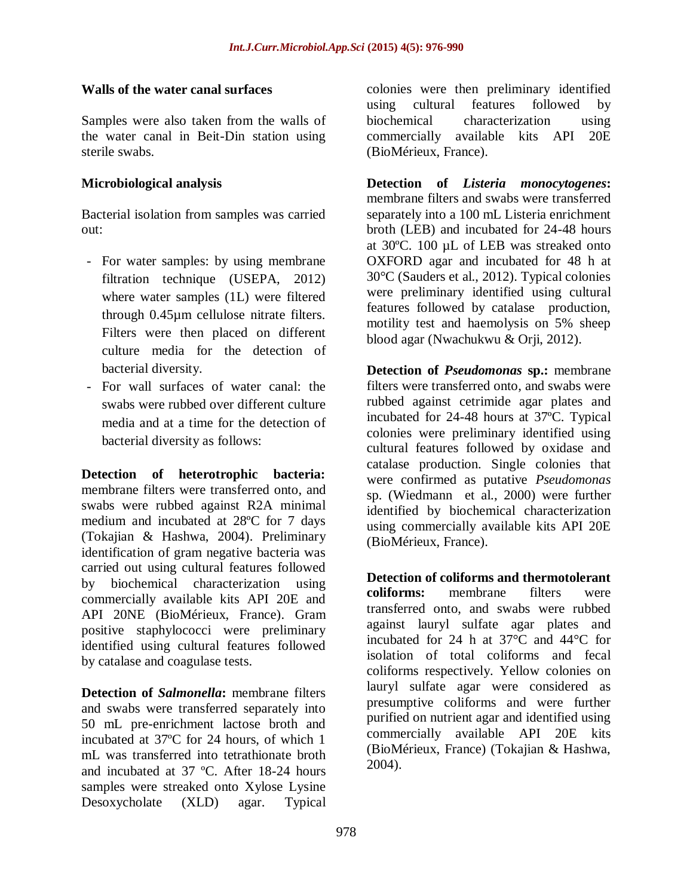#### **Walls of the water canal surfaces**

Samples were also taken from the walls of the water canal in Beit-Din station using sterile swabs.

#### **Microbiological analysis**

Bacterial isolation from samples was carried out:

- For water samples: by using membrane filtration technique (USEPA, 2012) where water samples (1L) were filtered through 0.45µm cellulose nitrate filters. Filters were then placed on different culture media for the detection of bacterial diversity.
- For wall surfaces of water canal: the swabs were rubbed over different culture media and at a time for the detection of bacterial diversity as follows:

**Detection of heterotrophic bacteria:** membrane filters were transferred onto, and swabs were rubbed against R2A minimal medium and incubated at 28ºC for 7 days (Tokajian & Hashwa, 2004). Preliminary identification of gram negative bacteria was carried out using cultural features followed by biochemical characterization using commercially available kits API 20E and API 20NE (BioMérieux, France). Gram positive staphylococci were preliminary identified using cultural features followed by catalase and coagulase tests.

**Detection of** *Salmonella***:** membrane filters and swabs were transferred separately into 50 mL pre-enrichment lactose broth and incubated at 37ºC for 24 hours, of which 1 mL was transferred into tetrathionate broth and incubated at 37 ºC. After 18-24 hours samples were streaked onto Xylose Lysine Desoxycholate (XLD) agar. Typical

colonies were then preliminary identified using cultural features followed by biochemical characterization using commercially available kits API 20E (BioMérieux, France).

**Detection of** *Listeria monocytogenes***:**  membrane filters and swabs were transferred separately into a 100 mL Listeria enrichment broth (LEB) and incubated for 24-48 hours at 30ºC. 100 µL of LEB was streaked onto OXFORD agar and incubated for 48 h at 30°C (Sauders et al., 2012). Typical colonies were preliminary identified using cultural features followed by catalase production, motility test and haemolysis on 5% sheep blood agar (Nwachukwu & Orji, 2012).

**Detection of** *Pseudomonas* **sp.:** membrane filters were transferred onto, and swabs were rubbed against cetrimide agar plates and incubated for 24-48 hours at 37ºC. Typical colonies were preliminary identified using cultural features followed by oxidase and catalase production. Single colonies that were confirmed as putative *Pseudomonas*  sp. (Wiedmann et al., 2000) were further identified by biochemical characterization using commercially available kits API 20E (BioMérieux, France).

**Detection of coliforms and thermotolerant coliforms:** membrane filters were transferred onto, and swabs were rubbed against lauryl sulfate agar plates and incubated for 24 h at 37°C and 44°C for isolation of total coliforms and fecal coliforms respectively. Yellow colonies on lauryl sulfate agar were considered as presumptive coliforms and were further purified on nutrient agar and identified using commercially available API 20E kits (BioMérieux, France) (Tokajian & Hashwa, 2004).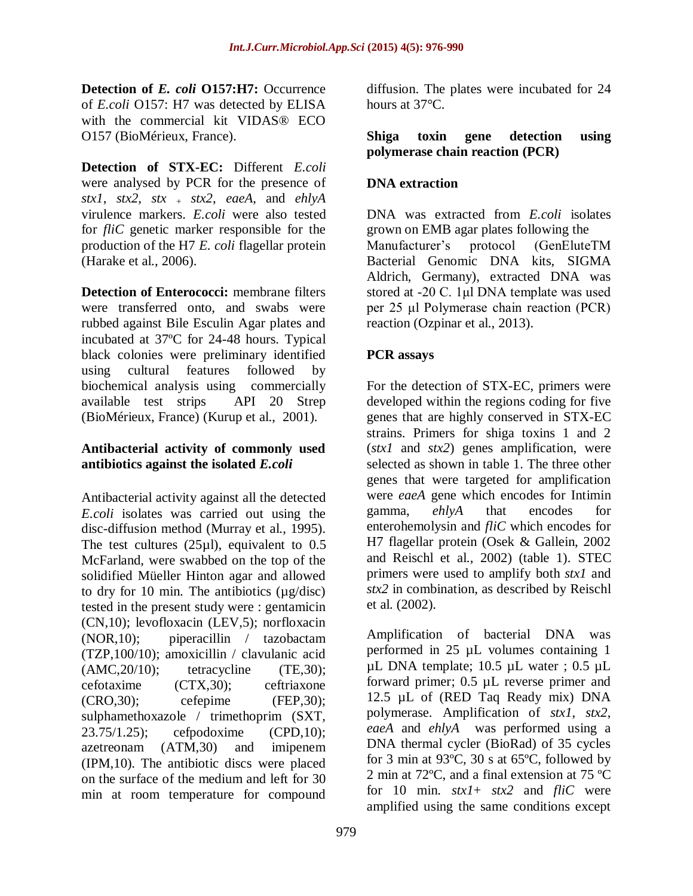**Detection of** *E. coli* **O157:H7:** Occurrence of *E.coli* O157: H7 was detected by ELISA with the commercial kit VIDAS® ECO O157 (BioMérieux, France).

**Detection of STX-EC:** Different *E.coli* were analysed by PCR for the presence of *stx1*, *stx2*, *stx* <sup>+</sup> *stx2*, *eaeA*, and *ehlyA* virulence markers. *E.coli* were also tested for *fliC* genetic marker responsible for the production of the H7 *E. coli* flagellar protein (Harake et al., 2006).

**Detection of Enterococci:** membrane filters were transferred onto, and swabs were rubbed against Bile Esculin Agar plates and incubated at 37ºC for 24-48 hours. Typical black colonies were preliminary identified using cultural features followed by biochemical analysis using commercially available test strips API 20 Strep (BioMérieux, France) (Kurup et al., 2001).

### **Antibacterial activity of commonly used antibiotics against the isolated** *E.coli*

Antibacterial activity against all the detected *E.coli* isolates was carried out using the disc-diffusion method (Murray et al., 1995). The test cultures (25µl), equivalent to 0.5 McFarland, were swabbed on the top of the solidified Müeller Hinton agar and allowed to dry for 10 min. The antibiotics  $(\mu g/disc)$ tested in the present study were : gentamicin (CN,10); levofloxacin (LEV,5); norfloxacin (NOR,10); piperacillin / tazobactam (TZP,100/10); amoxicillin / clavulanic acid  $(AMC, 20/10);$  tetracycline  $(TE, 30);$ cefotaxime (CTX,30); ceftriaxone  $(CRO, 30);$  cefepime  $(FEP, 30);$ sulphamethoxazole / trimethoprim (SXT, 23.75/1.25); cefpodoxime (CPD,10); azetreonam (ATM,30) and imipenem (IPM,10). The antibiotic discs were placed on the surface of the medium and left for 30 min at room temperature for compound

diffusion. The plates were incubated for 24 hours at 37°C.

#### **Shiga toxin gene detection using polymerase chain reaction (PCR)**

## **DNA extraction**

DNA was extracted from *E.coli* isolates grown on EMB agar plates following the Manufacturer's protocol (GenEluteTM Bacterial Genomic DNA kits, SIGMA Aldrich, Germany), extracted DNA was stored at -20 C. 1μl DNA template was used per 25 μl Polymerase chain reaction (PCR) reaction (Ozpinar et al., 2013).

## **PCR assays**

For the detection of STX-EC, primers were developed within the regions coding for five genes that are highly conserved in STX-EC strains. Primers for shiga toxins 1 and 2 (*stx1* and *stx2*) genes amplification, were selected as shown in table 1. The three other genes that were targeted for amplification were *eaeA* gene which encodes for Intimin gamma, *ehlyA* that encodes for enterohemolysin and *fliC* which encodes for H7 flagellar protein (Osek & Gallein, 2002 and Reischl et al., 2002) (table 1). STEC primers were used to amplify both *stx1* and *stx2* in combination, as described by Reischl et al. (2002).

Amplification of bacterial DNA was performed in 25 µL volumes containing 1 µL DNA template; 10.5 µL water ; 0.5 µL forward primer; 0.5 µL reverse primer and 12.5 µL of (RED Taq Ready mix) DNA polymerase. Amplification of *stx1*, *stx2*, *eaeA* and *ehlyA* was performed using a DNA thermal cycler (BioRad) of 35 cycles for 3 min at 93ºC, 30 s at 65ºC, followed by 2 min at 72ºC, and a final extension at 75 ºC for 10 min. *stx1*+ *stx2* and *fliC* were amplified using the same conditions except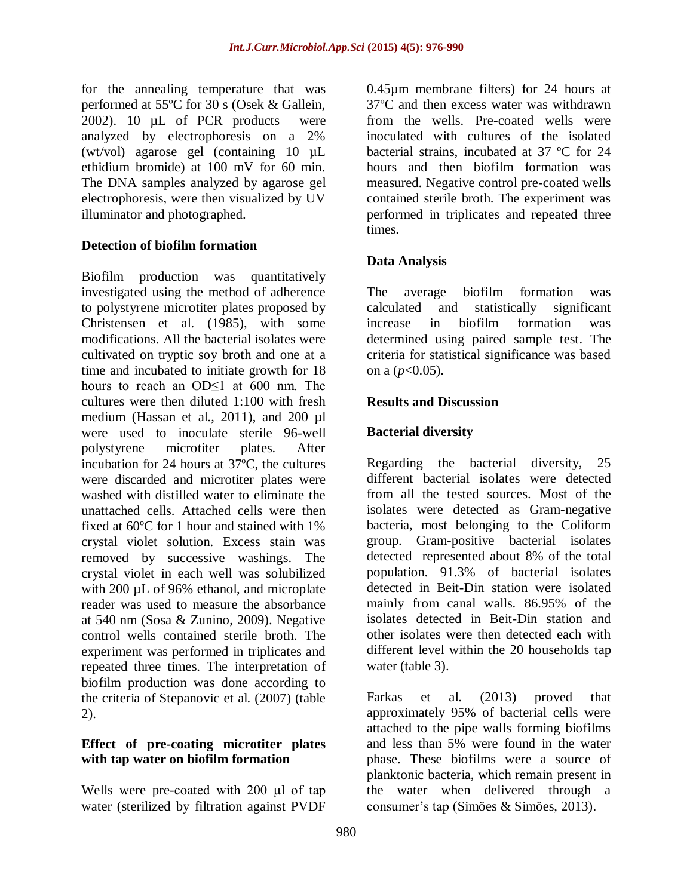for the annealing temperature that was performed at 55ºC for 30 s (Osek & Gallein, 2002). 10 µL of PCR products were analyzed by electrophoresis on a 2% (wt/vol) agarose gel (containing 10 µL ethidium bromide) at 100 mV for 60 min. The DNA samples analyzed by agarose gel electrophoresis, were then visualized by UV illuminator and photographed.

### **Detection of biofilm formation**

Biofilm production was quantitatively investigated using the method of adherence to polystyrene microtiter plates proposed by Christensen et al. (1985), with some modifications. All the bacterial isolates were cultivated on tryptic soy broth and one at a time and incubated to initiate growth for 18 hours to reach an OD≤1 at 600 nm. The cultures were then diluted 1:100 with fresh medium (Hassan et al., 2011), and 200 µl were used to inoculate sterile 96-well polystyrene microtiter plates. After incubation for 24 hours at 37ºC, the cultures were discarded and microtiter plates were washed with distilled water to eliminate the unattached cells. Attached cells were then fixed at 60ºC for 1 hour and stained with 1% crystal violet solution. Excess stain was removed by successive washings. The crystal violet in each well was solubilized with 200 µL of 96% ethanol, and microplate reader was used to measure the absorbance at 540 nm (Sosa & Zunino, 2009). Negative control wells contained sterile broth. The experiment was performed in triplicates and repeated three times. The interpretation of biofilm production was done according to the criteria of Stepanovic et al. (2007) (table 2).

#### **Effect of pre-coating microtiter plates with tap water on biofilm formation**

Wells were pre-coated with 200 μl of tap water (sterilized by filtration against PVDF

0.45µm membrane filters) for 24 hours at 37ºC and then excess water was withdrawn from the wells. Pre-coated wells were inoculated with cultures of the isolated bacterial strains, incubated at 37 ºC for 24 hours and then biofilm formation was measured. Negative control pre-coated wells contained sterile broth. The experiment was performed in triplicates and repeated three times.

## **Data Analysis**

The average biofilm formation was calculated and statistically significant increase in biofilm formation was determined using paired sample test. The criteria for statistical significance was based on a  $(p<0.05)$ .

### **Results and Discussion**

### **Bacterial diversity**

Regarding the bacterial diversity, different bacterial isolates were detected from all the tested sources. Most of the isolates were detected as Gram-negative bacteria, most belonging to the Coliform group. Gram-positive bacterial isolates detected represented about 8% of the total population. 91.3% of bacterial isolates detected in Beit-Din station were isolated mainly from canal walls. 86.95% of the isolates detected in Beit-Din station and other isolates were then detected each with different level within the 20 households tap water (table 3).

Farkas et al. (2013) proved that approximately 95% of bacterial cells were attached to the pipe walls forming biofilms and less than 5% were found in the water phase. These biofilms were a source of planktonic bacteria, which remain present in the water when delivered through a consumer's tap (Simöes & Simöes, 2013).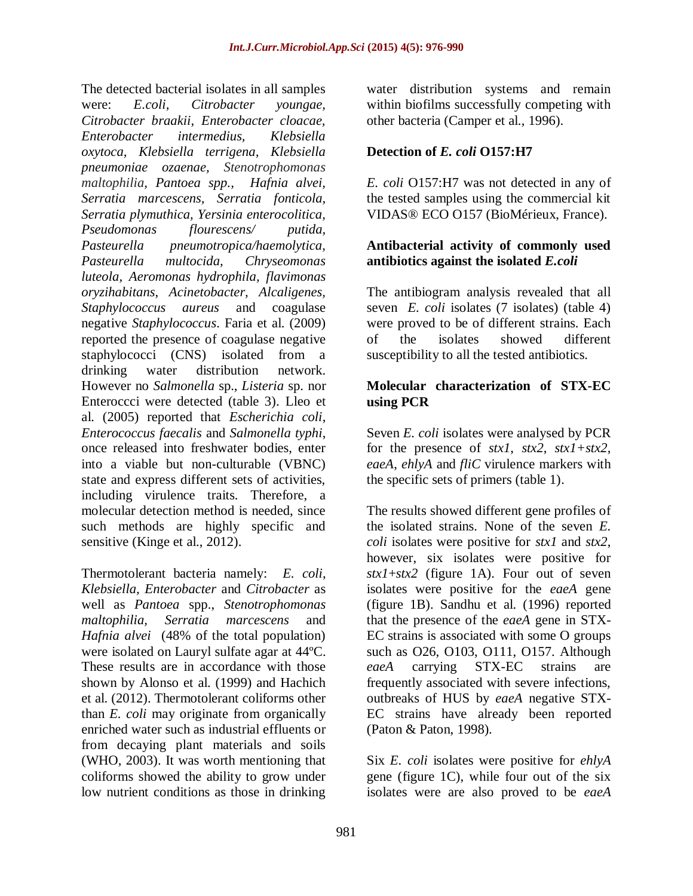The detected bacterial isolates in all samples were: *E.coli, Citrobacter youngae, Citrobacter braakii, Enterobacter cloacae, Enterobacter intermedius, Klebsiella oxytoca, Klebsiella terrigena, Klebsiella pneumoniae ozaenae, Stenotrophomonas maltophilia, Pantoea spp., Hafnia alvei, Serratia marcescens, Serratia fonticola, Serratia plymuthica, Yersinia enterocolitica, Pseudomonas flourescens/ putida, Pasteurella pneumotropica/haemolytica, Pasteurella multocida, Chryseomonas luteola, Aeromonas hydrophila, flavimonas oryzihabitans*, *Acinetobacter, Alcaligenes, Staphylococcus aureus* and coagulase negative *Staphylococcus*. Faria et al. (2009) reported the presence of coagulase negative staphylococci (CNS) isolated from a drinking water distribution network. However no *Salmonella* sp., *Listeria* sp. nor Enteroccci were detected (table 3). Lleo et al. (2005) reported that *Escherichia coli*, *Enterococcus faecalis* and *Salmonella typhi*, once released into freshwater bodies, enter into a viable but non-culturable (VBNC) state and express different sets of activities, including virulence traits. Therefore, a molecular detection method is needed, since such methods are highly specific and sensitive (Kinge et al., 2012).

Thermotolerant bacteria namely: *E. coli*, *Klebsiella, Enterobacter* and *Citrobacter* as well as *Pantoea* spp., *Stenotrophomonas maltophilia, Serratia marcescens* and *Hafnia alvei* (48% of the total population) were isolated on Lauryl sulfate agar at 44ºC. These results are in accordance with those shown by Alonso et al. (1999) and Hachich et al. (2012). Thermotolerant coliforms other than *E. coli* may originate from organically enriched water such as industrial effluents or from decaying plant materials and soils (WHO, 2003). It was worth mentioning that coliforms showed the ability to grow under low nutrient conditions as those in drinking

water distribution systems and remain within biofilms successfully competing with other bacteria (Camper et al., 1996).

### **Detection of** *E. coli* **O157:H7**

*E. coli* O157:H7 was not detected in any of the tested samples using the commercial kit VIDAS® ECO O157 (BioMérieux, France).

### **Antibacterial activity of commonly used antibiotics against the isolated** *E.coli*

The antibiogram analysis revealed that all seven *E. coli* isolates (7 isolates) (table 4) were proved to be of different strains. Each of the isolates showed different susceptibility to all the tested antibiotics.

### **Molecular characterization of STX-EC using PCR**

Seven *E. coli* isolates were analysed by PCR for the presence of *stx1*, *stx2*, *stx1+stx2*, *eaeA*, *ehlyA* and *fliC* virulence markers with the specific sets of primers (table 1).

The results showed different gene profiles of the isolated strains. None of the seven *E. coli* isolates were positive for *stx1* and *stx2*, however, six isolates were positive for *stx1*+*stx2* (figure 1A). Four out of seven isolates were positive for the *eaeA* gene (figure 1B). Sandhu et al. (1996) reported that the presence of the *eaeA* gene in STX-EC strains is associated with some O groups such as O26, O103, O111, O157. Although *eaeA* carrying STX-EC strains are frequently associated with severe infections, outbreaks of HUS by *eaeA* negative STX-EC strains have already been reported (Paton & Paton, 1998).

Six *E. coli* isolates were positive for *ehlyA* gene (figure 1C), while four out of the six isolates were are also proved to be *eaeA*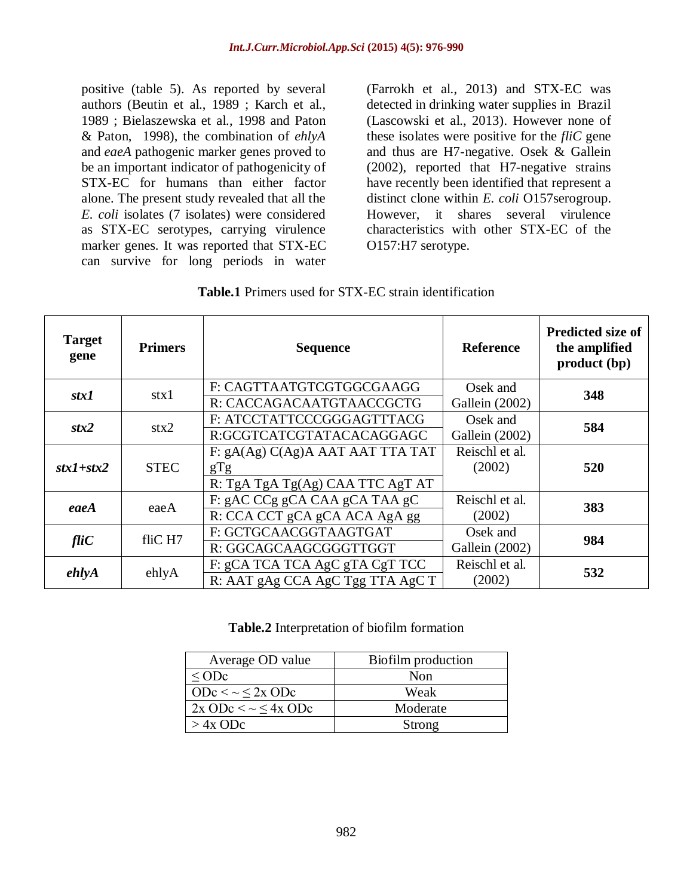positive (table 5). As reported by several authors (Beutin et al., 1989 ; Karch et al., 1989 ; Bielaszewska et al., 1998 and Paton & Paton, 1998), the combination of *ehlyA* and *eaeA* pathogenic marker genes proved to be an important indicator of pathogenicity of STX-EC for humans than either factor alone. The present study revealed that all the *E. coli* isolates (7 isolates) were considered as STX-EC serotypes, carrying virulence marker genes. It was reported that STX-EC can survive for long periods in water

(Farrokh et al., 2013) and STX-EC was detected in drinking water supplies in Brazil [\(Lascowski e](http://www.ncbi.nlm.nih.gov/pubmed/?term=Lascowski%20KM%5BAuthor%5D&cauthor=true&cauthor_uid=23279284)t al., 2013). However none of these isolates were positive for the *fliC* gene and thus are H7-negative. Osek & Gallein (2002), reported that H7-negative strains have recently been identified that represent a distinct clone within *E. coli* O157serogroup. However, it shares several virulence characteristics with other STX-EC of the O157:H7 serotype.

| <b>Table.1</b> Primers used for STX-EC strain identification |  |  |
|--------------------------------------------------------------|--|--|
|--------------------------------------------------------------|--|--|

| <b>Target</b><br>gene | <b>Primers</b> | <b>Sequence</b>                  | <b>Reference</b> | <b>Predicted size of</b><br>the amplified<br>product (bp) |  |
|-----------------------|----------------|----------------------------------|------------------|-----------------------------------------------------------|--|
| stx1                  | stx1           | F: CAGTTAATGTCGTGGCGAAGG         | Osek and         | 348                                                       |  |
|                       |                | R: CACCAGACAATGTAACCGCTG         | Gallein (2002)   |                                                           |  |
|                       | stx2           | F: ATCCTATTCCCGGGAGTTTACG        | Osek and         | 584                                                       |  |
| $\,$ stx $2$          |                | R:GCGTCATCGTATACACAGGAGC         | Gallein (2002)   |                                                           |  |
|                       |                | F: gA(Ag) C(Ag)A AAT AAT TTA TAT | Reischl et al.   |                                                           |  |
| $stx1 + stx2$         | <b>STEC</b>    | gTg                              | (2002)           | 520                                                       |  |
|                       |                | R: TgA TgA Tg(Ag) CAA TTC AgT AT |                  |                                                           |  |
| eaeA                  | eaeA           | F: gAC CCg gCA CAA gCA TAA gC    | Reischl et al.   | 383                                                       |  |
|                       |                | R: CCA CCT gCA gCA ACA AgA gg    | (2002)           |                                                           |  |
|                       | fliC H7        | F: GCTGCAACGGTAAGTGAT            | Osek and         | 984                                                       |  |
| fliC                  |                | R: GGCAGCAAGCGGGTTGGT            | Gallein (2002)   |                                                           |  |
|                       |                | F: gCA TCA TCA AgC gTA CgT TCC   | Reischl et al.   | 532                                                       |  |
| ehl <sub>y</sub> A    | ehlyA          | R: AAT gAg CCA AgC Tgg TTA AgC T | (2002)           |                                                           |  |

**Table.2** Interpretation of biofilm formation

| Average OD value               | Biofilm production |
|--------------------------------|--------------------|
| $<$ ODc                        | Non                |
| ODc $\lt \lt \lt 2x$ ODc       | Weak               |
| $2x$ ODc $\lt \sim \lt 4x$ ODc | Moderate           |
| $>$ 4x ODc                     | Strong             |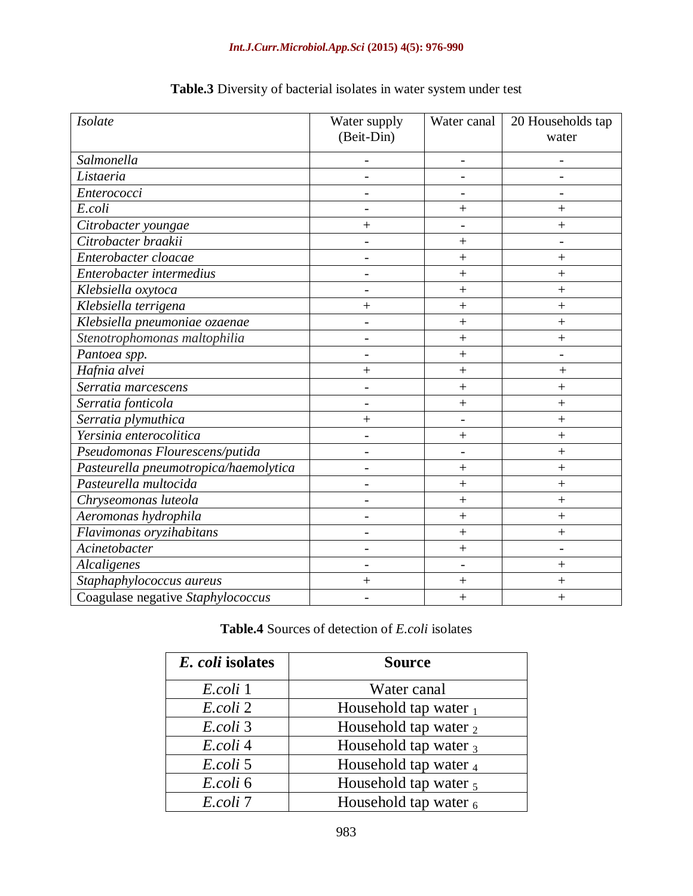| Isolate                               | Water supply<br>(Beit-Din) | Water canal    | 20 Households tap<br>water |
|---------------------------------------|----------------------------|----------------|----------------------------|
| Salmonella                            |                            |                |                            |
| Listaeria                             |                            |                | $\overline{a}$             |
| Enterococci                           |                            |                |                            |
| E.coli                                |                            | $\ddot{}$      | $^{+}$                     |
| Citrobacter youngae                   | $^{+}$                     |                | $^{+}$                     |
| Citrobacter braakii                   | $\overline{\phantom{0}}$   | $^{+}$         |                            |
| Enterobacter cloacae                  | $\overline{\phantom{a}}$   | $^{+}$         | $^{+}$                     |
| Enterobacter intermedius              | $\overline{\phantom{a}}$   | $\ddot{}$      | $^{+}$                     |
| Klebsiella oxytoca                    | $\overline{\phantom{a}}$   | $\ddot{}$      | $^{+}$                     |
| Klebsiella terrigena                  | $^{+}$                     | $\overline{+}$ | $^{+}$                     |
| Klebsiella pneumoniae ozaenae         |                            | $\ddot{}$      | $\ddot{}$                  |
| Stenotrophomonas maltophilia          | $\overline{a}$             | $\ddot{}$      | $^{+}$                     |
| Pantoea spp.                          |                            | $\ddot{}$      |                            |
| Hafnia alvei                          | $\overline{+}$             | $\ddot{}$      | $^{+}$                     |
| Serratia marcescens                   |                            | $\ddot{}$      | $^{+}$                     |
| Serratia fonticola                    | $\overline{\phantom{0}}$   | $\ddot{}$      | $^{+}$                     |
| Serratia plymuthica                   | $^{+}$                     |                | $^{+}$                     |
| Yersinia enterocolitica               |                            | $\ddot{}$      | $^{+}$                     |
| Pseudomonas Flourescens/putida        | $\overline{\phantom{a}}$   |                | $^{+}$                     |
| Pasteurella pneumotropica/haemolytica | $\overline{\phantom{a}}$   | $^{+}$         | $^{+}$                     |
| Pasteurella multocida                 |                            | $\ddot{}$      | $^{+}$                     |
| Chryseomonas luteola                  |                            | $\ddot{}$      | $^{+}$                     |
| Aeromonas hydrophila                  |                            | $\ddot{}$      | $^{+}$                     |
| Flavimonas oryzihabitans              | $\overline{\phantom{0}}$   | $\ddot{}$      | $^{+}$                     |
| Acinetobacter                         | $\overline{\phantom{0}}$   | $^{+}$         | $\overline{a}$             |
| Alcaligenes                           |                            |                | $^{+}$                     |
| Staphaphylococcus aureus              | $\hspace{0.1mm} +$         | $+$            | $^{+}$                     |
| Coagulase negative Staphylococcus     |                            | $^{+}$         | $^{+}$                     |

## **Table.3** Diversity of bacterial isolates in water system under test

# **Table.4** Sources of detection of *E.coli* isolates

| <i>E. coli</i> isolates | <b>Source</b>                     |
|-------------------------|-----------------------------------|
| E.coli 1                | Water canal                       |
| E.coli 2                | Household tap water $_1$          |
| E.coli 3                | Household tap water $_2$          |
| E.coli 4                | Household tap water $\frac{1}{3}$ |
| E.coli 5                | Household tap water $_4$          |
| E.coli 6                | Household tap water $\frac{1}{2}$ |
| E.coli 7                | Household tap water $_6$          |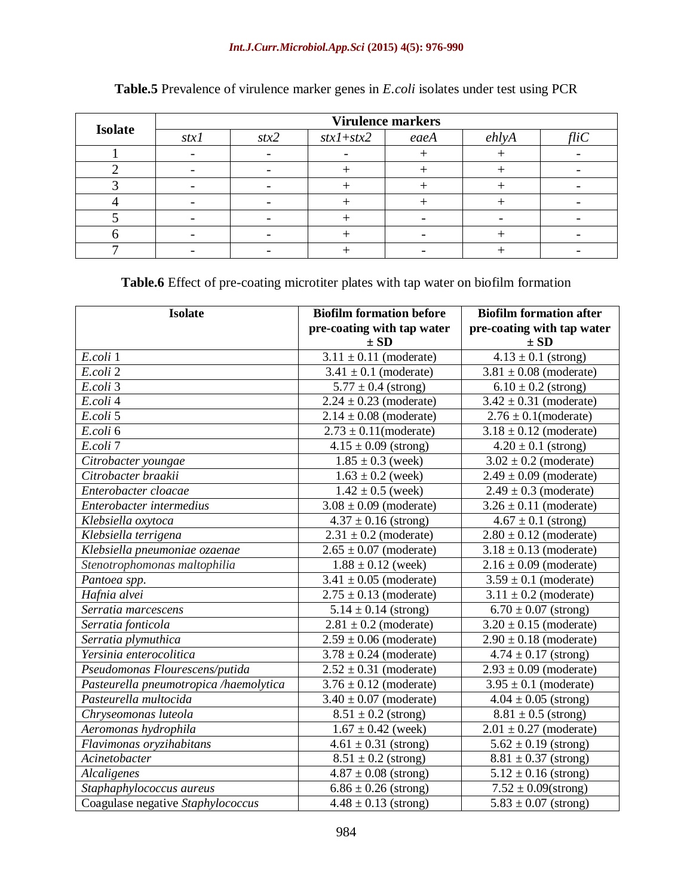#### *Int.J.Curr.Microbiol.App.Sci* **(2015) 4(5): 976-990**

| <b>Isolate</b> | <b>Virulence markers</b> |      |                       |  |                      |      |  |  |
|----------------|--------------------------|------|-----------------------|--|----------------------|------|--|--|
|                | stx1                     | stx2 | $stx1 + stx2$<br>eaeA |  | $ehl$ <sub>y</sub> A | fliC |  |  |
|                |                          |      |                       |  |                      |      |  |  |
|                |                          |      |                       |  |                      |      |  |  |
|                |                          |      |                       |  |                      |      |  |  |
|                |                          |      |                       |  |                      |      |  |  |
|                |                          |      |                       |  |                      |      |  |  |
|                |                          |      |                       |  |                      |      |  |  |
|                |                          |      |                       |  |                      |      |  |  |

## **Table.5** Prevalence of virulence marker genes in *E.coli* isolates under test using PCR

**Table.6** Effect of pre-coating microtiter plates with tap water on biofilm formation

| <b>Isolate</b>                         | <b>Biofilm formation before</b>       | <b>Biofilm formation after</b>     |  |  |  |
|----------------------------------------|---------------------------------------|------------------------------------|--|--|--|
|                                        | pre-coating with tap water            | pre-coating with tap water         |  |  |  |
|                                        | $\pm$ SD                              | $\pm$ SD                           |  |  |  |
| E.coli 1                               | $\overline{3.11} \pm 0.11$ (moderate) | $\overline{4.1}3 \pm 0.1$ (strong) |  |  |  |
| E.coli 2                               | $3.41 \pm 0.1$ (moderate)             | $3.81 \pm 0.08$ (moderate)         |  |  |  |
| E.coli 3                               | $5.77 \pm 0.4$ (strong)               | $6.10 \pm 0.2$ (strong)            |  |  |  |
| E.coli 4                               | $2.24 \pm 0.23$ (moderate)            | $3.42 \pm 0.31$ (moderate)         |  |  |  |
| E.coli 5                               | $2.14 \pm 0.08$ (moderate)            | $2.76 \pm 0.1$ (moderate)          |  |  |  |
| E.coli 6                               | $2.73 \pm 0.11$ (moderate)            | $3.18 \pm 0.12$ (moderate)         |  |  |  |
| E.coli 7                               | $4.15 \pm 0.09$ (strong)              | $4.20 \pm 0.1$ (strong)            |  |  |  |
| Citrobacter youngae                    | $1.85 \pm 0.3$ (week)                 | $3.02 \pm 0.2$ (moderate)          |  |  |  |
| Citrobacter braakii                    | $1.63 \pm 0.2$ (week)                 | $2.49 \pm 0.09$ (moderate)         |  |  |  |
| Enterobacter cloacae                   | $\frac{1.42 \pm 0.5}{2}$ (week)       | $2.49 \pm 0.3$ (moderate)          |  |  |  |
| Enterobacter intermedius               | $3.08 \pm 0.09$ (moderate)            | $3.26 \pm 0.11$ (moderate)         |  |  |  |
| Klebsiella oxytoca                     | $4.37 \pm 0.16$ (strong)              | $4.67 \pm 0.1$ (strong)            |  |  |  |
| Klebsiella terrigena                   | $2.31 \pm 0.2$ (moderate)             | $2.80 \pm 0.12$ (moderate)         |  |  |  |
| Klebsiella pneumoniae ozaenae          | $2.65 \pm 0.07$ (moderate)            | $3.18 \pm 0.13$ (moderate)         |  |  |  |
| Stenotrophomonas maltophilia           | $1.88 \pm 0.12$ (week)                | $2.16 \pm 0.09$ (moderate)         |  |  |  |
| Pantoea spp.                           | $3.41 \pm 0.05$ (moderate)            | $3.59 \pm 0.1$ (moderate)          |  |  |  |
| Hafnia alvei                           | $2.75 \pm 0.13$ (moderate)            | $3.11 \pm 0.2$ (moderate)          |  |  |  |
| Serratia marcescens                    | $5.14 \pm 0.14$ (strong)              | $6.70 \pm 0.07$ (strong)           |  |  |  |
| Serratia fonticola                     | $2.81 \pm 0.2$ (moderate)             | $3.20 \pm 0.15$ (moderate)         |  |  |  |
| Serratia plymuthica                    | $2.59 \pm 0.06$ (moderate)            | $2.90 \pm 0.18$ (moderate)         |  |  |  |
| Yersinia enterocolitica                | $3.78 \pm 0.24$ (moderate)            | $4.74 \pm 0.17$ (strong)           |  |  |  |
| Pseudomonas Flourescens/putida         | $2.52 \pm 0.31$ (moderate)            | $2.93 \pm 0.09$ (moderate)         |  |  |  |
| Pasteurella pneumotropica /haemolytica | $3.76 \pm 0.12$ (moderate)            | $3.95 \pm 0.1$ (moderate)          |  |  |  |
| Pasteurella multocida                  | $\overline{3.40 \pm 0.07}$ (moderate) | $4.04 \pm 0.05$ (strong)           |  |  |  |
| Chryseomonas luteola                   | $8.51 \pm 0.2$ (strong)               | $8.81 \pm 0.5$ (strong)            |  |  |  |
| Aeromonas hydrophila                   | $1.67 \pm 0.42$ (week)                | $2.01 \pm 0.27$ (moderate)         |  |  |  |
| Flavimonas oryzihabitans               | $4.61 \pm 0.31$ (strong)              | $5.62 \pm 0.19$ (strong)           |  |  |  |
| Acinetobacter                          | $8.51 \pm 0.2$ (strong)               | $8.81 \pm 0.37$ (strong)           |  |  |  |
| Alcaligenes                            | $4.87 \pm 0.08$ (strong)              | $5.12 \pm 0.16$ (strong)           |  |  |  |
| Staphaphylococcus aureus               | $6.86 \pm 0.26$ (strong)              | $7.52 \pm 0.09$ (strong)           |  |  |  |
| Coagulase negative Staphylococcus      | $4.48 \pm 0.13$ (strong)              | $5.83 \pm 0.07$ (strong)           |  |  |  |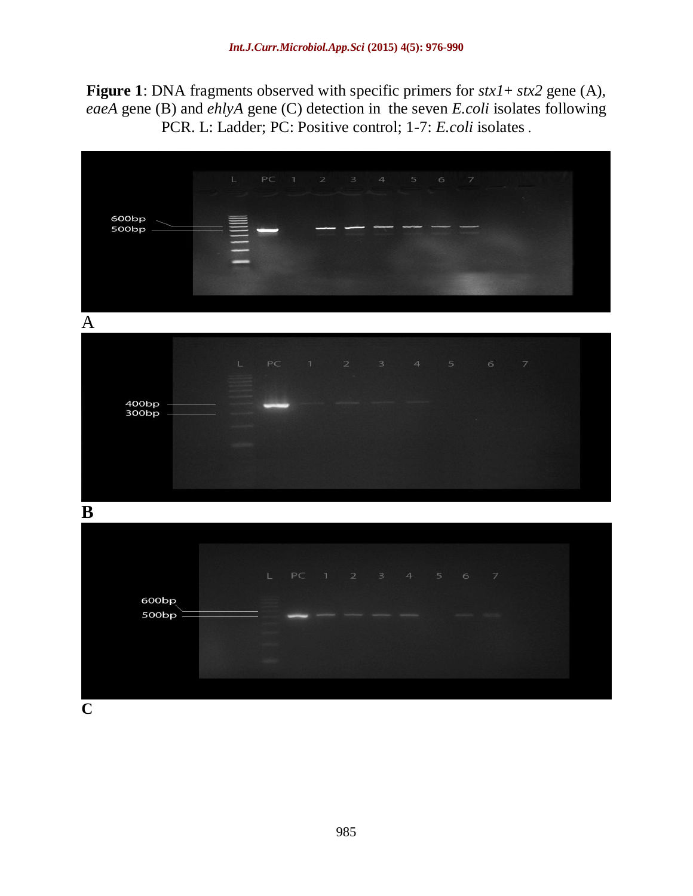**Figure 1**: DNA fragments observed with specific primers for *stx1*+ *stx2* gene (A), *eaeA* gene (B) and *ehlyA* gene (C) detection in the seven *E.coli* isolates following PCR. L: Ladder; PC: Positive control; 1-7: *E.coli* isolates .

| $\mathbf{A}$<br>$\mathsf{L}$<br>PC<br>$\overline{\mathbf{3}}$<br>$\overline{4}$<br>$\mathbbm{1}$<br>$\overline{2}$<br>$\sqrt{5}$<br>$\epsilon$<br>$\overline{7}$<br>400bp<br>300bp<br>$PC$<br>$\mathsf{L}^{\mathbb{Z}}$<br>$\blacksquare$<br>2<br>$3 \qquad 4 \qquad 5$<br>$6 7$<br>600bp<br>500bp | 600bp<br>$500bp -$ | $\mathbb{L}$ . | $PC$ 1 | $\mathbf{2}$ | $\ensuremath{\mathsf{3}}$ | $\overline{5}$ | $\epsilon$<br>$\overline{z}$ |  |  |
|----------------------------------------------------------------------------------------------------------------------------------------------------------------------------------------------------------------------------------------------------------------------------------------------------|--------------------|----------------|--------|--------------|---------------------------|----------------|------------------------------|--|--|
| $\bf{B}$                                                                                                                                                                                                                                                                                           |                    |                |        |              |                           |                |                              |  |  |
| $\mathbf C$                                                                                                                                                                                                                                                                                        |                    |                |        |              |                           |                |                              |  |  |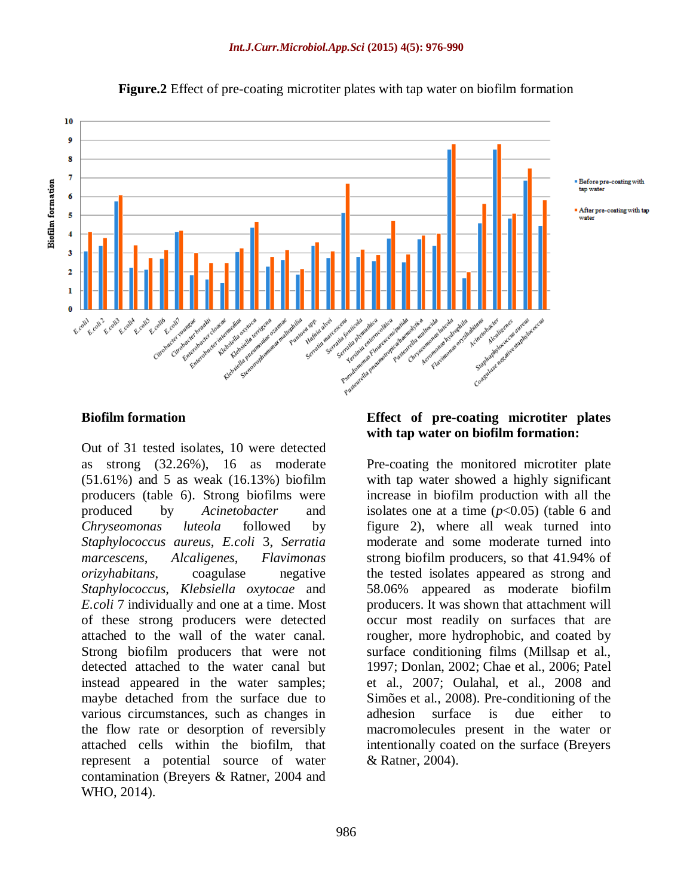

#### **Figure.2** Effect of pre-coating microtiter plates with tap water on biofilm formation

#### **Biofilm formation**

Out of 31 tested isolates, 10 were detected as strong (32.26%), 16 as moderate (51.61%) and 5 as weak (16.13%) biofilm producers (table 6). Strong biofilms were produced by *Acinetobacter* and *Chryseomonas luteola* followed by *Staphylococcus aureus*, *E.coli* 3, *Serratia marcescens*, *Alcaligenes*, *Flavimonas orizyhabitans*, coagulase negative *Staphylococcus*, *Klebsiella oxytocae* and *E.coli* 7 individually and one at a time. Most of these strong producers were detected attached to the wall of the water canal. Strong biofilm producers that were not detected attached to the water canal but instead appeared in the water samples; maybe detached from the surface due to various circumstances, such as changes in the flow rate or desorption of reversibly attached cells within the biofilm, that represent a potential source of water contamination (Breyers & Ratner, 2004 and WHO, 2014).

### **Effect of pre-coating microtiter plates with tap water on biofilm formation:**

Pre-coating the monitored microtiter plate with tap water showed a highly significant increase in biofilm production with all the isolates one at a time  $(p<0.05)$  (table 6 and figure 2), where all weak turned into moderate and some moderate turned into strong biofilm producers, so that 41.94% of the tested isolates appeared as strong and 58.06% appeared as moderate biofilm producers. It was shown that attachment will occur most readily on surfaces that are rougher, more hydrophobic, and coated by surface conditioning films (Millsap et al., 1997; Donlan, 2002; Chae et al., 2006; Patel et al., 2007; Oulahal, et al., 2008 and Simões et al., 2008). Pre-conditioning of the adhesion surface is due either to macromolecules present in the water or intentionally coated on the surface (Breyers & Ratner, 2004).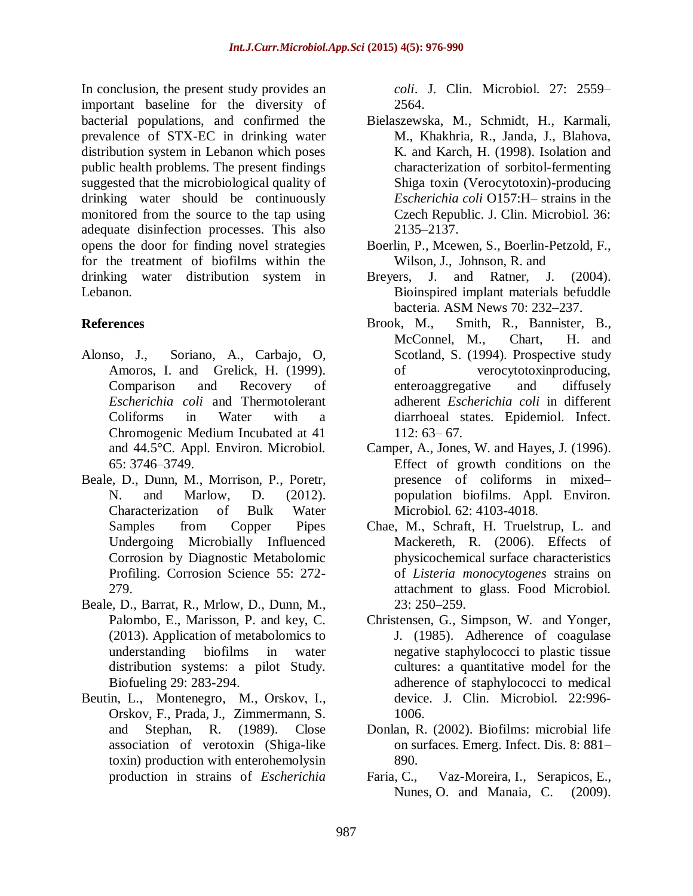In conclusion, the present study provides an important baseline for the diversity of bacterial populations, and confirmed the prevalence of STX-EC in drinking water distribution system in Lebanon which poses public health problems. The present findings suggested that the microbiological quality of drinking water should be continuously monitored from the source to the tap using adequate disinfection processes. This also opens the door for finding novel strategies for the treatment of biofilms within the drinking water distribution system in Lebanon.

### **References**

- Alonso, J., Soriano, A., Carbajo, O, Amoros, I. and Grelick, H. (1999). Comparison and Recovery of *Escherichia coli* and Thermotolerant Coliforms in Water with a Chromogenic Medium Incubated at 41 and 44.5°C. Appl. Environ. Microbiol. 65: 3746–3749.
- Beale, D., Dunn, M., Morrison, P., Poretr, N. and Marlow, D. (2012). Characterization of Bulk Water Samples from Copper Pipes Undergoing Microbially Influenced Corrosion by Diagnostic Metabolomic Profiling. Corrosion Science 55: 272- 279.
- Beale, D., Barrat, R., Mrlow, D., Dunn, M., Palombo, E., Marisson, P. and key, C. (2013). Application of metabolomics to understanding biofilms in water distribution systems: a pilot Study. Biofueling 29: 283-294.
- Beutin, L., Montenegro, M., Orskov, I., Orskov, F., Prada, J., Zimmermann, S. and Stephan, R. (1989). Close association of verotoxin (Shiga-like toxin) production with enterohemolysin production in strains of *Escherichia*

*coli*. J. Clin. Microbiol. 27: 2559– 2564.

- Bielaszewska, M., Schmidt, H., Karmali, M., Khakhria, R., Janda, J., Blahova, K. and Karch, H. (1998). Isolation and characterization of sorbitol-fermenting Shiga toxin (Verocytotoxin)-producing *Escherichia coli* O157:H– strains in the Czech Republic. J. Clin. Microbiol. 36: 2135–2137.
- Boerlin, P., Mcewen, S., Boerlin-Petzold, F., Wilson, J., Johnson, R. and
- Breyers, J. and Ratner, J. (2004). Bioinspired implant materials befuddle bacteria. ASM News 70: 232–237.
- Brook, M., Smith, R., Bannister, B., McConnel, M., Chart, H. and Scotland, S. (1994). Prospective study of verocytotoxinproducing, enteroaggregative and diffusely adherent *Escherichia coli* in different diarrhoeal states. Epidemiol. Infect.  $112: 63 - 67.$
- Camper, A., Jones, W. and Hayes, J. (1996). Effect of growth conditions on the presence of coliforms in mixed– population biofilms. Appl. Environ. Microbiol. 62: 4103-4018.
- Chae, M., Schraft, H. Truelstrup, L. and Mackereth, R. (2006). Effects of physicochemical surface characteristics of *Listeria monocytogenes* strains on attachment to glass. Food Microbiol. 23: 250–259.
- Christensen, G., Simpson, W. and Yonger, J. (1985). Adherence of coagulase negative staphylococci to plastic tissue cultures: a quantitative model for the adherence of staphylococci to medical device. J. Clin. Microbiol. 22:996- 1006.
- Donlan, R. (2002). Biofilms: microbial life on surfaces. Emerg. Infect. Dis. 8: 881– 890.
- [Faria,](http://www.sciencedirect.com/science/article/pii/S0048969709002125) C., [Vaz-Moreira,](http://www.sciencedirect.com/science/article/pii/S0048969709002125) I., [Serapicos,](http://www.sciencedirect.com/science/article/pii/S0048969709002125) E., [Nunes,](http://www.sciencedirect.com/science/article/pii/S0048969709002125) O. and [Manaia,](http://www.sciencedirect.com/science/article/pii/S0048969709002125) C. (2009).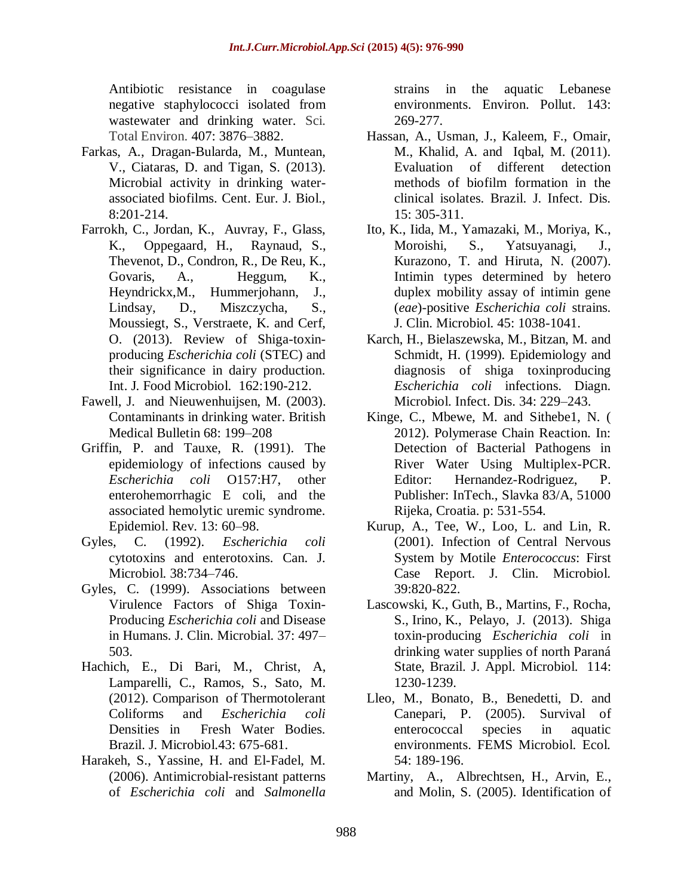Antibiotic resistance in coagulase negative staphylococci isolated from wastewater and drinking water. Sci. Total Environ. [407:](http://www.sciencedirect.com/science/journal/00489697/407/12) 3876–3882.

- Farkas, A., Dragan-Bularda, M., Muntean, V., Ciataras, D. and Tigan, S. (2013). Microbial activity in drinking waterassociated biofilms. Cent. Eur. J. Biol., 8:201-214.
- Farrokh, C., Jordan, K., Auvray, F., Glass, K., Oppegaard, H., Raynaud, S., Thevenot, D., Condron, R., De Reu, K., Govaris, A., Heggum, K., Heyndrickx,M., Hummerjohann, J., Lindsay, D., Miszczycha, S., Moussiegt, S., Verstraete, K. and Cerf, O. (2013). Review of Shiga-toxinproducing *Escherichia coli* (STEC) and their significance in dairy production. Int. J. Food Microbiol. 162:190-212.
- Fawell, J. and Nieuwenhuijsen, M. (2003). Contaminants in drinking water. British Medical Bulletin 68: 199–208
- Griffin, P. and Tauxe, R. (1991). The epidemiology of infections caused by *Escherichia coli* O157:H7, other enterohemorrhagic E coli, and the associated hemolytic uremic syndrome. Epidemiol. Rev. 13: 60–98.
- Gyles, C. (1992). *Escherichia coli* cytotoxins and enterotoxins. Can. J. Microbiol. 38:734–746.
- Gyles, C. (1999). Associations between Virulence Factors of Shiga Toxin-Producing *Escherichia coli* and Disease in Humans. J. Clin. Microbial. 37: 497– 503.
- Hachich, E., Di Bari, M., Christ, A, Lamparelli, C., Ramos, S., Sato, M. (2012). Comparison of Thermotolerant Coliforms and *Escherichia coli*  Densities in Fresh Water Bodies. Brazil. J. Microbiol.43: 675-681.
- Harakeh, S., Yassine, H. and El-Fadel, M. (2006). Antimicrobial-resistant patterns of *Escherichia coli* and *Salmonella*

strains in the aquatic Lebanese environments. Environ. Pollut. 143: 269-277.

- Hassan, A., Usman, J., Kaleem, F., Omair, M., Khalid, A. and Iqbal, M. (2011). Evaluation of different detection methods of biofilm formation in the clinical isolates. Brazil. J. Infect. Dis. 15: 305-311.
- Ito, K., Iida, M., Yamazaki, M., Moriya, K., Moroishi, S., Yatsuyanagi, J., Kurazono, T. and Hiruta, N. (2007). Intimin types determined by hetero duplex mobility assay of intimin gene (*eae*)-positive *Escherichia coli* strains. J. Clin. Microbiol. 45: 1038-1041.
- Karch, H., Bielaszewska, M., Bitzan, M. and Schmidt, H. (1999). Epidemiology and diagnosis of shiga toxinproducing *Escherichia coli* infections. Diagn. Microbiol. Infect. Dis. 34: 229–243.
- Kinge, C., Mbewe, M. and Sithebe1, N. ( 2012). Polymerase Chain Reaction. In: Detection of Bacterial Pathogens in River Water Using Multiplex-PCR. Editor: Hernandez-Rodriguez, P. Publisher: InTech., Slavka 83/A, 51000 Rijeka, Croatia. p: 531-554.
- Kurup, A., Tee, W., Loo, L. and Lin, R. (2001). Infection of Central Nervous System by Motile *Enterococcus*: First Case Report. J. Clin. Microbiol. 39:820-822.
- [Lascowski, K.,](http://www.ncbi.nlm.nih.gov/pubmed/?term=Lascowski%20KM%5BAuthor%5D&cauthor=true&cauthor_uid=23279284) [Guth, B.,](http://www.ncbi.nlm.nih.gov/pubmed/?term=Guth%20BE%5BAuthor%5D&cauthor=true&cauthor_uid=23279284) [Martins, F.,](http://www.ncbi.nlm.nih.gov/pubmed/?term=Martins%20FH%5BAuthor%5D&cauthor=true&cauthor_uid=23279284) [Rocha,](http://www.ncbi.nlm.nih.gov/pubmed/?term=Rocha%20SP%5BAuthor%5D&cauthor=true&cauthor_uid=23279284)  [S.,](http://www.ncbi.nlm.nih.gov/pubmed/?term=Rocha%20SP%5BAuthor%5D&cauthor=true&cauthor_uid=23279284) [Irino,](http://www.ncbi.nlm.nih.gov/pubmed/?term=Irino%20K%5BAuthor%5D&cauthor=true&cauthor_uid=23279284) K., [Pelayo, J.](http://www.ncbi.nlm.nih.gov/pubmed/?term=Pelayo%20JS%5BAuthor%5D&cauthor=true&cauthor_uid=23279284) (2013). Shiga toxin-producing *Escherichia coli* in drinking water supplies of north Paraná State, Brazil. [J. Appl. Microbiol.](http://www.ncbi.nlm.nih.gov/pubmed/23279284) 114: 1230-1239.
- Lleo, M., Bonato, B., Benedetti, D. and Canepari, P. (2005). Survival of enterococcal species in aquatic environments. FEMS Microbiol. Ecol. 54: 189-196.
- Martiny, A., Albrechtsen, H., Arvin, E., and Molin, S. (2005). Identification of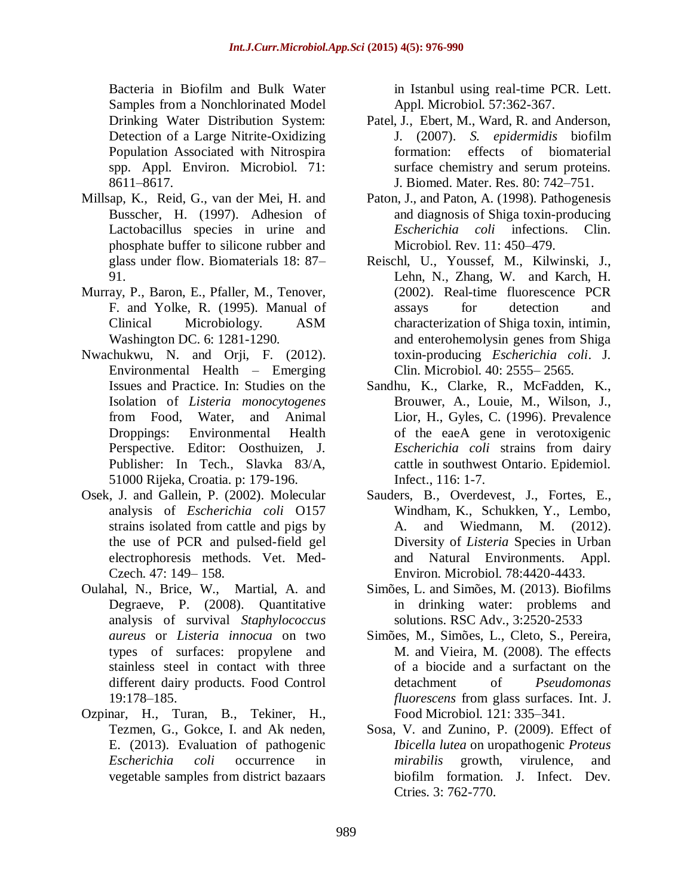Bacteria in Biofilm and Bulk Water Samples from a Nonchlorinated Model Drinking Water Distribution System: Detection of a Large Nitrite-Oxidizing Population Associated with Nitrospira spp. Appl. Environ. Microbiol. 71: 8611–8617.

- Millsap, K., Reid, G., van der Mei, H. and Busscher, H. (1997). Adhesion of Lactobacillus species in urine and phosphate buffer to silicone rubber and glass under flow. Biomaterials 18: 87– 91.
- Murray, P., Baron, E., Pfaller, M., Tenover, F. and Yolke, R. (1995). Manual of Clinical Microbiology. ASM Washington DC. 6: 1281-1290.
- Nwachukwu, N. and Orji, F. (2012). Environmental Health – Emerging Issues and Practice. In: Studies on the Isolation of *Listeria monocytogenes* from Food, Water, and Animal Droppings: Environmental Health Perspective. Editor: Oosthuizen, J. Publisher: In Tech., Slavka 83/A, 51000 Rijeka, Croatia. p: 179-196.
- Osek, J. and Gallein, P. (2002). Molecular analysis of *Escherichia coli* O157 strains isolated from cattle and pigs by the use of PCR and pulsed-field gel electrophoresis methods. Vet. Med-Czech. 47: 149– 158.
- Oulahal, N., Brice, W., Martial, A. and Degraeve, P. (2008). Quantitative analysis of survival *Staphylococcus aureus* or *Listeria innocua* on two types of surfaces: propylene and stainless steel in contact with three different dairy products. Food Control 19:178–185.
- Ozpinar, H., Turan, B., Tekiner, H., Tezmen, G., Gokce, I. and Ak neden, E. (2013). Evaluation of pathogenic *Escherichia coli* occurrence in vegetable samples from district bazaars

in Istanbul using real-time PCR. Lett. Appl. Microbiol. 57:362-367.

- Patel, J., Ebert, M., Ward, R. and Anderson, J. (2007). *S. epidermidis* biofilm formation: effects of biomaterial surface chemistry and serum proteins. J. Biomed. Mater. Res. 80: 742–751.
- Paton, J., and Paton, A. (1998). Pathogenesis and diagnosis of Shiga toxin-producing *Escherichia coli* infections. Clin. Microbiol. Rev. 11: 450–479.
- Reischl, U., Youssef, M., Kilwinski, J., Lehn, N., Zhang, W. and Karch, H. (2002). Real-time fluorescence PCR assays for detection and characterization of Shiga toxin, intimin, and enterohemolysin genes from Shiga toxin-producing *Escherichia coli*. J. Clin. Microbiol. 40: 2555– 2565.
- Sandhu, K., Clarke, R., McFadden, K., Brouwer, A., Louie, M., Wilson, J., Lior, H., Gyles, C. (1996). Prevalence of the eaeA gene in verotoxigenic *Escherichia coli* strains from dairy cattle in southwest Ontario. Epidemiol. Infect., 116: 1-7.
- Sauders, B., Overdevest, J., Fortes, E., Windham, K., Schukken, Y., Lembo, A. and Wiedmann, M. (2012). Diversity of *Listeria* Species in Urban and Natural Environments. Appl. Environ. Microbiol. 78:4420-4433.
- Simões, L. and Simões, M. (2013). Biofilms in drinking water: problems and solutions. RSC Adv., 3:2520-2533
- Simões, M., Simões, L., Cleto, S., Pereira, M. and Vieira, M. (2008). The effects of a biocide and a surfactant on the detachment of *Pseudomonas fluorescens* from glass surfaces. Int. J. Food Microbiol. 121: 335–341.
- Sosa, V. and Zunino, P. (2009). Effect of *Ibicella lutea* on uropathogenic *Proteus mirabilis* growth, virulence, and biofilm formation. J. Infect. Dev. Ctries. 3: 762-770.